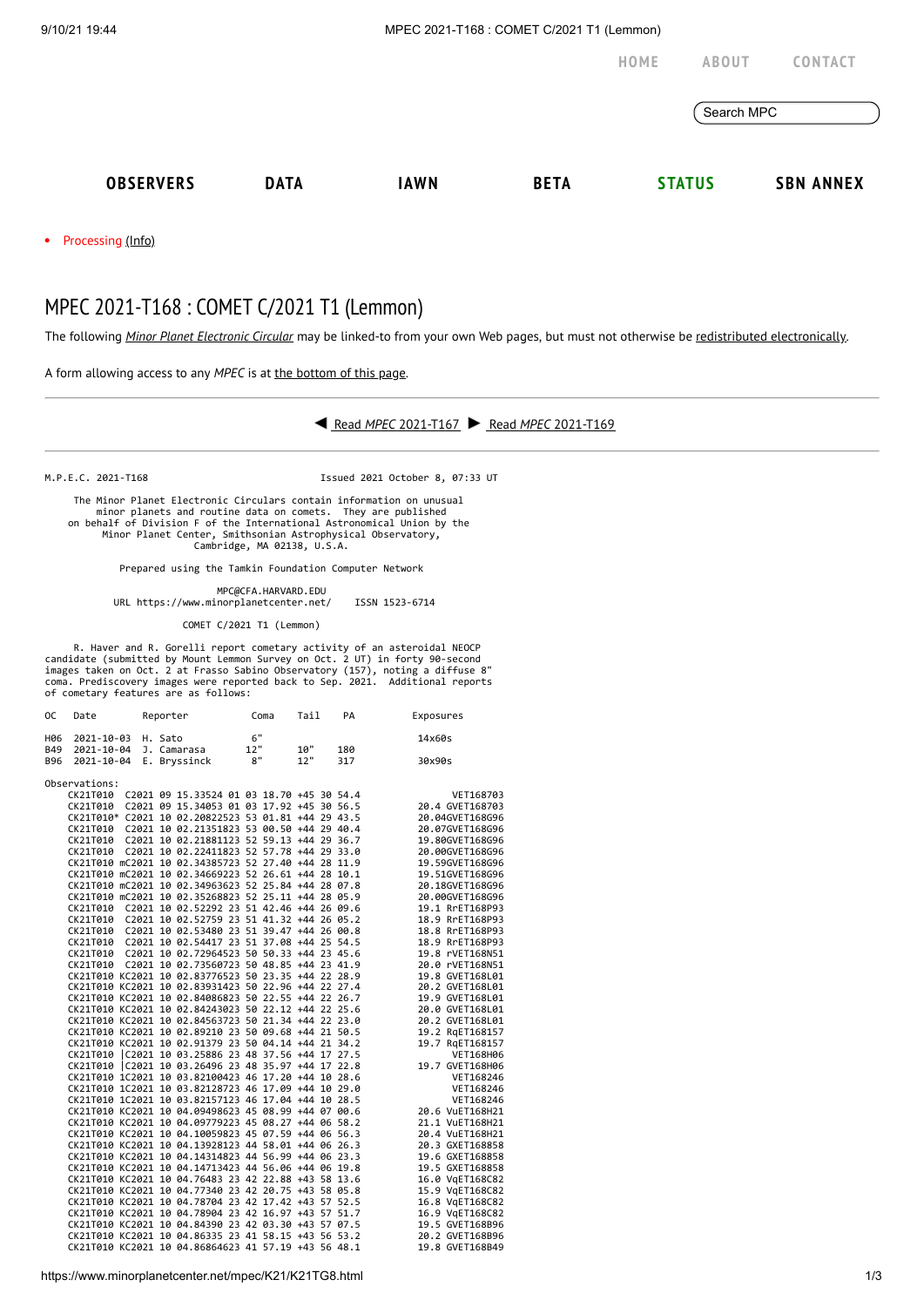9/10/21 19:44 MPEC 2021-T168 : COMET C/2021 T1 (Lemmon)

**[HOME](https://www.minorplanetcenter.net/) [ABOUT](https://www.minorplanetcenter.net/about) [CONTACT](https://mpc-service.atlassian.net/servicedesk/customer/portals)** Search MPC **[OBSERVERS](https://www.minorplanetcenter.net/iau/mpc.html) [DATA](https://www.minorplanetcenter.net/data) [IAWN](http://iawn.net/) [BETA](https://minorplanetcenter.net/mpcops/beta/) [STATUS](https://www.minorplanetcenter.net/iau/MPCStatus.html) SBN [ANNEX](https://sbnmpc.astro.umd.edu/)**

Processing [\(Info\)](https://www.minorplanetcenter.net/iau/info/MPCOpStatus.html)

## MPEC 2021-T168 : COMET C/2021 T1 (Lemmon)

The following *Minor Planet [Electronic](https://www.minorplanetcenter.net/iau/services/MPEC.html) Circular* may be linked-to from your own Web pages, but must not otherwise be redistributed [electronically](https://www.minorplanetcenter.net/iau/WWWPolicy.html).

A form allowing access to any *MPEC* is at the [bottom](https://www.minorplanetcenter.net/mpec/K19/K21TG8.html#form) of this page.



M.P.E.C. 2021-T168 Issued 2021 October 8, 07:33 UT

 The Minor Planet Electronic Circulars contain information on unusual minor planets and routine data on comets. They are published on behalf of Division F of the International Astronomical Union by the Minor Planet Center, Smithsonian Astrophysical Observatory, Cambridge, MA 02138, U.S.A.

Prepared using the Tamkin Foundation Computer Network

MPC@CFA.HARVARD.EDU

URL https://www.minorplanetcenter.net/ ISSN 1523-6714

COMET C/2021 T1 (Lemmon)

R. Haver and R. Gorelli report cometary activity of an asteroidal NEOCP<br>candidate (submitted by Mount Lemmon Survey on Oct. 2 UT) in forty 90-second<br>"images taken on Oct. 2 at Frasso Sabino Observatory (157), noting a diff coma. Prediscovery images were reported back to Sep. 2021. Additional reports of cometary features are as follows:

| 0C         | Date                    | Reporter                                                                                                   |     | Coma | Tail | PA  | Exposures                          |  |  |
|------------|-------------------------|------------------------------------------------------------------------------------------------------------|-----|------|------|-----|------------------------------------|--|--|
| H06        | 2021-10-03              | H. Sato                                                                                                    | 6"  |      |      |     | 14x60s                             |  |  |
| B49        | 2021-10-04 J. Camarasa  |                                                                                                            | 12" |      | 10"  | 180 |                                    |  |  |
| <b>B96</b> | 2021-10-04 E. Bryssinck |                                                                                                            |     | 8"   | 12"  | 317 | 30x90s                             |  |  |
|            | Observations:           |                                                                                                            |     |      |      |     |                                    |  |  |
|            |                         | CK21T010 C2021 09 15.33524 01 03 18.70 +45 30 54.4                                                         |     |      |      |     | VET168703                          |  |  |
|            |                         | CK21T010 C2021 09 15.34053 01 03 17.92 +45 30 56.5                                                         |     |      |      |     | 20.4 GVET168703                    |  |  |
|            |                         | CK21T010* C2021 10 02.20822523 53 01.81 +44 29 43.5                                                        |     |      |      |     | 20.04GVET168G96                    |  |  |
|            |                         | CK21T010 C2021 10 02.21351823 53 00.50 +44 29 40.4                                                         |     |      |      |     | 20.07GVET168G96                    |  |  |
|            |                         | CK21T010 C2021 10 02.21881123 52 59.13 +44 29 36.7                                                         |     |      |      |     | 19.80GVET168G96                    |  |  |
|            |                         | CK21T010 C2021 10 02.22411823 52 57.78 +44 29 33.0                                                         |     |      |      |     | 20.00GVET168G96                    |  |  |
|            |                         | CK21T010 mC2021 10 02.34385723 52 27.40 +44 28 11.9                                                        |     |      |      |     | 19.59GVET168G96                    |  |  |
|            |                         | CK21T010 mC2021 10 02.34669223 52 26.61 +44 28 10.1                                                        |     |      |      |     | 19.51GVET168G96                    |  |  |
|            |                         | CK21T010 mC2021 10 02.34963623 52 25.84 +44 28 07.8                                                        |     |      |      |     | 20.18GVET168G96                    |  |  |
|            |                         | CK21T010 mC2021 10 02.35268823 52 25.11 +44 28 05.9                                                        |     |      |      |     | 20.00GVET168G96                    |  |  |
|            |                         | CK21T010 C2021 10 02.52292 23 51 42.46 +44 26 09.6                                                         |     |      |      |     | 19.1 RrET168P93                    |  |  |
|            |                         | CK21T010 C2021 10 02.52759 23 51 41.32 +44 26 05.2                                                         |     |      |      |     | 18.9 RrET168P93                    |  |  |
|            |                         | CK21T010 C2021 10 02.53480 23 51 39.47 +44 26 00.8                                                         |     |      |      |     | 18.8 RrET168P93                    |  |  |
|            |                         | CK21T010 C2021 10 02.54417 23 51 37.08 +44 25 54.5                                                         |     |      |      |     | 18.9 RrET168P93                    |  |  |
|            |                         | CK21T010 C2021 10 02.72964523 50 50.33 +44 23 45.6                                                         |     |      |      |     | 19.8 rVET168N51                    |  |  |
|            |                         | CK21T010 C2021 10 02.73560723 50 48.85 +44 23 41.9                                                         |     |      |      |     | 20.0 rVET168N51                    |  |  |
|            |                         | CK21T010 KC2021 10 02.83776523 50 23.35 +44 22 28.9                                                        |     |      |      |     | 19.8 GVET168L01                    |  |  |
|            |                         | CK21T010 KC2021 10 02.83931423 50 22.96 +44 22 27.4                                                        |     |      |      |     | 20.2 GVET168L01                    |  |  |
|            |                         | CK21T010 KC2021 10 02.84086823 50 22.55 +44 22 26.7                                                        |     |      |      |     | 19.9 GVET168L01                    |  |  |
|            |                         | CK21T010 KC2021 10 02.84243023 50 22.12 +44 22 25.6                                                        |     |      |      |     | 20.0 GVET168L01                    |  |  |
|            |                         | CK21T010 KC2021 10 02.84563723 50 21.34 +44 22 23.0                                                        |     |      |      |     | 20.2 GVET168L01                    |  |  |
|            |                         | CK21T010 KC2021 10 02.89210 23 50 09.68 +44 21 50.5                                                        |     |      |      |     | 19.2 RqET168157                    |  |  |
|            |                         | CK21T010 KC2021 10 02.91379 23 50 04.14 +44 21 34.2                                                        |     |      |      |     | 19.7 RqET168157                    |  |  |
|            |                         | CK21T010 C2021 10 03.25886 23 48 37.56 +44 17 27.5                                                         |     |      |      |     | VET168H06                          |  |  |
|            |                         | CK21T010 C2021 10 03.26496 23 48 35.97 +44 17 22.8                                                         |     |      |      |     | 19.7 GVET168H06                    |  |  |
|            |                         | CK21T010 1C2021 10 03.82100423 46 17.20 +44 10 28.6                                                        |     |      |      |     | VET168246                          |  |  |
|            |                         | CK21T010 1C2021 10 03.82128723 46 17.09 +44 10 29.0                                                        |     |      |      |     | VET168246                          |  |  |
|            |                         | CK21T010 1C2021 10 03.82157123 46 17.04 +44 10 28.5                                                        |     |      |      |     | VET168246                          |  |  |
|            |                         | CK21T010 KC2021 10 04.09498623 45 08.99 +44 07 00.6                                                        |     |      |      |     | 20.6 VuET168H21                    |  |  |
|            |                         | CK21T010 KC2021 10 04.09779223 45 08.27 +44 06 58.2                                                        |     |      |      |     | 21.1 VuET168H21                    |  |  |
|            |                         | CK21T010 KC2021 10 04.10059823 45 07.59 +44 06 56.3                                                        |     |      |      |     | 20.4 VuET168H21                    |  |  |
|            |                         | CK21T010 KC2021 10 04.13928123 44 58.01 +44 06 26.3                                                        |     |      |      |     | 20.3 GXET168858                    |  |  |
|            |                         | CK21T010 KC2021 10 04.14314823 44 56.99 +44 06 23.3                                                        |     |      |      |     | 19.6 GXET168858                    |  |  |
|            |                         | CK21T010 KC2021 10 04.14713423 44 56.06 +44 06 19.8                                                        |     |      |      |     | 19.5 GXET168858                    |  |  |
|            |                         | CK21T010 KC2021 10 04.76483 23 42 22.88 +43 58 13.6                                                        |     |      |      |     | 16.0 VgET168C82                    |  |  |
|            |                         | CK21T010 KC2021 10 04.77340 23 42 20.75 +43 58 05.8<br>CK21T010 KC2021 10 04.78704 23 42 17.42 +43 57 52.5 |     |      |      |     | 15.9 VgET168C82                    |  |  |
|            |                         | CK21T010 KC2021 10 04.78904 23 42 16.97 +43 57 51.7                                                        |     |      |      |     | 16.8 VgET168C82                    |  |  |
|            |                         | CK21T010 KC2021 10 04.84390 23 42 03.30 +43 57 07.5                                                        |     |      |      |     | 16.9 VgET168C82                    |  |  |
|            |                         | CK21T010 KC2021 10 04.86335 23 41 58.15 +43 56 53.2                                                        |     |      |      |     | 19.5 GVET168B96                    |  |  |
|            |                         | CK21T010 KC2021 10 04.86864623 41 57.19 +43 56 48.1                                                        |     |      |      |     | 20.2 GVET168B96<br>19.8 GVET168B49 |  |  |
|            |                         |                                                                                                            |     |      |      |     |                                    |  |  |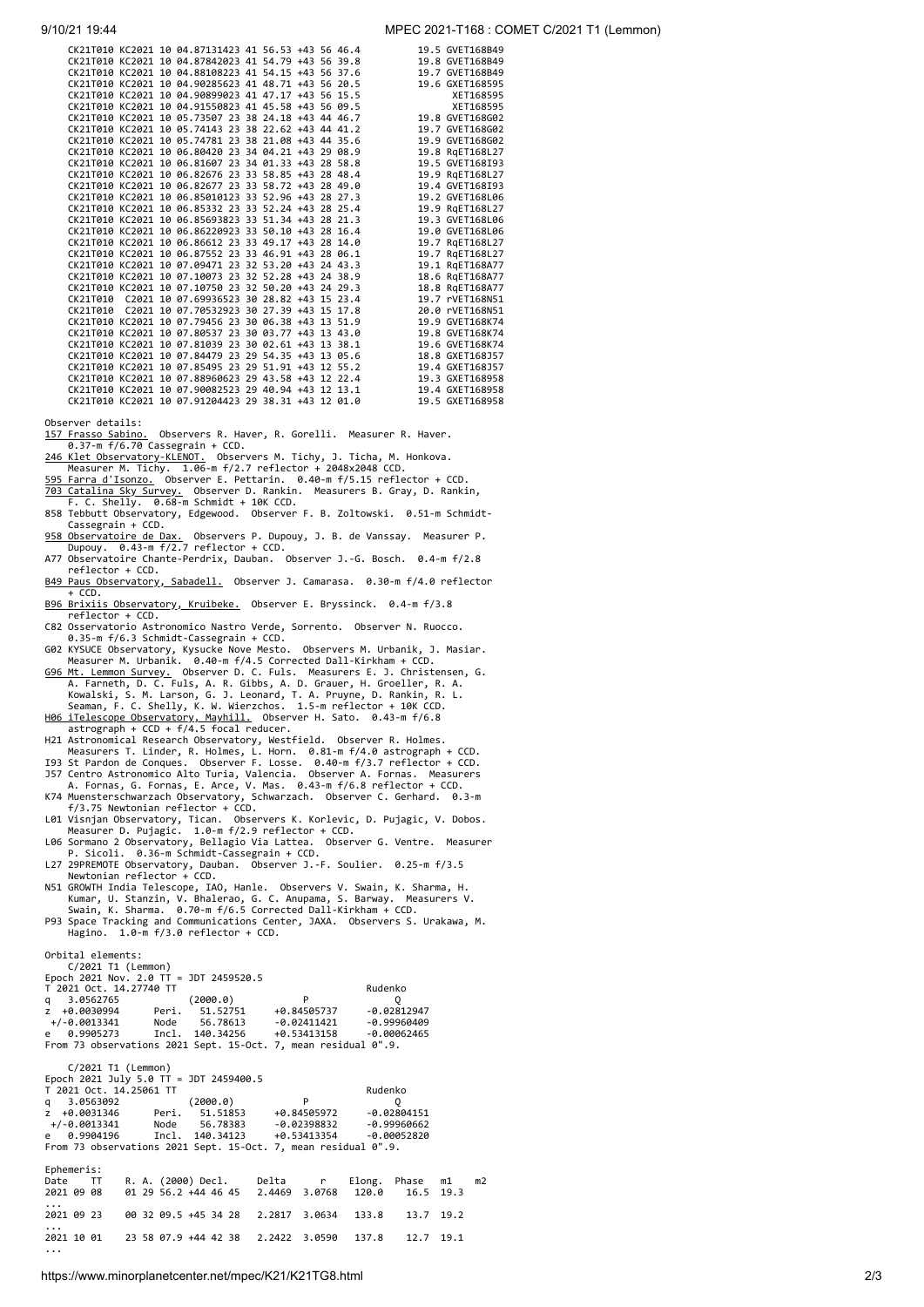## 9/10/21 19:44 MPEC 2021-T168 : COMET C/2021 T1 (Lemmon)

|                                 |  | CK21T010 KC2021 10 04.87131423 41 56.53 +43 56 46.4 |  |  |  | 19.5 GVET168B49 |
|---------------------------------|--|-----------------------------------------------------|--|--|--|-----------------|
|                                 |  | CK21T010 KC2021 10 04.87842023 41 54.79 +43 56 39.8 |  |  |  | 19.8 GVET168B49 |
|                                 |  | CK21T010 KC2021 10 04.88108223 41 54.15 +43 56 37.6 |  |  |  | 19.7 GVET168B49 |
|                                 |  | CK21T010 KC2021 10 04.90285623 41 48.71 +43 56 20.5 |  |  |  | 19.6 GXET168595 |
|                                 |  | CK21T010 KC2021 10 04.90899023 41 47.17 +43 56 15.5 |  |  |  | XET168595       |
|                                 |  | CK21T010 KC2021 10 04.91550823 41 45.58 +43 56 09.5 |  |  |  | XET168595       |
|                                 |  | CK21T010 KC2021 10 05.73507 23 38 24.18 +43 44 46.7 |  |  |  | 19.8 GVET168G02 |
|                                 |  | CK21T010 KC2021 10 05.74143 23 38 22.62 +43 44 41.2 |  |  |  | 19.7 GVET168G02 |
|                                 |  | CK21T010 KC2021 10 05.74781 23 38 21.08 +43 44 35.6 |  |  |  | 19.9 GVET168G02 |
|                                 |  | CK21T010 KC2021 10 06.80420 23 34 04.21 +43 29 08.9 |  |  |  | 19.8 RqET168L27 |
|                                 |  | CK21T010 KC2021 10 06.81607 23 34 01.33 +43 28 58.8 |  |  |  | 19.5 GVET168I93 |
|                                 |  | CK21T010 KC2021 10 06.82676 23 33 58.85 +43 28 48.4 |  |  |  | 19.9 RgET168L27 |
|                                 |  | CK21T010 KC2021 10 06.82677 23 33 58.72 +43 28 49.0 |  |  |  | 19.4 GVET168I93 |
|                                 |  | CK21T010 KC2021 10 06.85010123 33 52.96 +43 28 27.3 |  |  |  | 19.2 GVET168L06 |
|                                 |  | CK21T010 KC2021 10 06.85332 23 33 52.24 +43 28 25.4 |  |  |  | 19.9 RqET168L27 |
|                                 |  | CK21T010 KC2021 10 06.85693823 33 51.34 +43 28 21.3 |  |  |  | 19.3 GVET168L06 |
|                                 |  | CK21T010 KC2021 10 06.86220923 33 50.10 +43 28 16.4 |  |  |  | 19.0 GVET168L06 |
|                                 |  | CK21T010 KC2021 10 06.86612 23 33 49.17 +43 28 14.0 |  |  |  | 19.7 RgET168L27 |
|                                 |  | CK21T010 KC2021 10 06.87552 23 33 46.91 +43 28 06.1 |  |  |  | 19.7 RqET168L27 |
|                                 |  | CK21T010 KC2021 10 07.09471 23 32 53.20 +43 24 43.3 |  |  |  | 19.1 RgET168A77 |
|                                 |  | CK21T010 KC2021 10 07.10073 23 32 52.28 +43 24 38.9 |  |  |  | 18.6 RgET168A77 |
|                                 |  | CK21T010 KC2021 10 07.10750 23 32 50.20 +43 24 29.3 |  |  |  | 18.8 RgET168A77 |
|                                 |  | CK21T010 C2021 10 07.69936523 30 28.82 +43 15 23.4  |  |  |  | 19.7 rVET168N51 |
|                                 |  | CK21T010 C2021 10 07.70532923 30 27.39 +43 15 17.8  |  |  |  | 20.0 rVET168N51 |
|                                 |  | CK21T010 KC2021 10 07.79456 23 30 06.38 +43 13 51.9 |  |  |  | 19.9 GVET168K74 |
|                                 |  | CK21T010 KC2021 10 07.80537 23 30 03.77 +43 13 43.0 |  |  |  | 19.8 GVET168K74 |
|                                 |  | CK21T010 KC2021 10 07.81039 23 30 02.61 +43 13 38.1 |  |  |  | 19.6 GVET168K74 |
|                                 |  | CK21T010 KC2021 10 07.84479 23 29 54.35 +43 13 05.6 |  |  |  | 18.8 GXET168J57 |
|                                 |  | CK21T010 KC2021 10 07.85495 23 29 51.91 +43 12 55.2 |  |  |  | 19.4 GXET168J57 |
|                                 |  | CK21T010 KC2021 10 07.88960623 29 43.58 +43 12 22.4 |  |  |  | 19.3 GXET168958 |
|                                 |  | CK21T010 KC2021 10 07.90082523 29 40.94 +43 12 13.1 |  |  |  | 19.4 GXET168958 |
|                                 |  | CK21T010 KC2021 10 07.91204423 29 38.31 +43 12 01.0 |  |  |  | 19.5 GXET168958 |
| $\cdot$ $\cdot$ $\cdot$ $\cdot$ |  |                                                     |  |  |  |                 |

Observer details:<br>
<u>157 Frasso Sabino.</u> Observers R. Haver, R. Gorelli. Measurer R. Haver.<br>
<u>246 Klet Observatory-KLENOT.</u> Observers M. Tichy, J. Ticha, M. Honkova.<br>
Measurer M. Tichy. 1.06-m f/2.7 reflector + 2048x2048 CC

- <u>958 Observatoire de Dax.</u> Observers P. Dupouy, J. B. de Vanssay. Measurer P.<br> Dupouy. 0.43-m f/2.7 reflector + CCD.<br>A77 Observatoire Chante-Perdrix, Dauban. Observer J.-G. Bosch. 0.4-m f/2.8
- 
- reflector + CCD.<br>B49 Paus Observatory, Sabadell. Observer J. Camarasa. 0.30-m f/4.0 reflector
- + CCD. [B96 Brixiis Observatory, Kruibeke.](http://www.astronomie.be/erik.bryssinck/) Observer E. Bryssinck. 0.4-m f/3.8
- 
- 

reflector + CCD.<br>
C82 Osservatorio Astronomico Nastro Verde, Sorrento. Observer N. Ruocco.<br>
0.35-m f/6.3 Schmidt-Cassegrain + CCD.<br>
602 KYSUCE Observatory, Kysucke Nove Mesto. Observers M. Urbanik, J. Masiar.<br>
602 KYSUCE O

[H06 iTelescope Observatory, Mayhill.](http://www.itelescope.net/) Observer H. Sato. 0.43-m f/6.8 astrograph + CCD + f/4.5 focal reducer. H21 Astronomical Research Observatory, Westfield. Observer R. Holmes.

- 
- Measurers T. Linder, R. Holmes, L. Horn. 0.81-m f/4.0 astrograph + CCD.<br>193 St Pardon de Conques. Observer F. Losse. 0.40-m f/3.7 reflector + CCD.<br>157 Centro Astronomico Alto Turia, Valencia. Observer A. Fornas, Measurers<br>
- 
- 
- 
- 
- P. Sicoli. 0.36-m Schmidt-Cassegrain + CCD. L27 29PREMOTE Observatory, Dauban. Observer J.-F. Soulier. 0.25-m f/3.5 Newtonian reflector + CCD.
- N51 GROWTH India Telescope, IAO, Hanle. Observers V. Swain, K. Sharma, H.<br>Kumar, U. Stanzin, V. Bhalerao, G. C. Anupama, S. Barway. Measurers V.<br>Swain, K. Sharma. 0.70-m f/6.5 Corrected Dall-Kirkham + CCD.<br>P93 Space Tracki
- Hagino. 1.0-m f/3.0 reflector + CCD.

Orbital elements: C/2021 T1 (Lemmon)

...

| C/Z0ZI II (LEMMON)                     |  |                                                                |                                                                                                                                         |           |    |
|----------------------------------------|--|----------------------------------------------------------------|-----------------------------------------------------------------------------------------------------------------------------------------|-----------|----|
|                                        |  |                                                                | Epoch 2021 Nov. 2.0 TT = JDT 2459520.5<br>T 2021 Oct. 14.27740 TT<br>q 3.0562765<br>z +0.0030994 Peri. 51.52751 +0.84505737 -0.02812947 |           |    |
|                                        |  |                                                                |                                                                                                                                         |           |    |
|                                        |  |                                                                |                                                                                                                                         |           |    |
|                                        |  |                                                                |                                                                                                                                         |           |    |
|                                        |  |                                                                | +/-0.0013341 Node 56.78613 -0.02411421 -0.99960409                                                                                      |           |    |
|                                        |  |                                                                | e 0.9905273 Incl. 140.34256 +0.53413158 -0.00062465                                                                                     |           |    |
|                                        |  | From 73 observations 2021 Sept. 15-Oct. 7, mean residual 0".9. |                                                                                                                                         |           |    |
|                                        |  |                                                                |                                                                                                                                         |           |    |
| C/2021 T1 (Lemmon)                     |  |                                                                |                                                                                                                                         |           |    |
| Epoch 2021 July 5.0 TT = JDT 2459400.5 |  |                                                                |                                                                                                                                         |           |    |
| T 2021 Oct. 14.25061 TT                |  |                                                                | Rudenko                                                                                                                                 |           |    |
|                                        |  |                                                                | 1 201 000 1 2000.0)<br>1 3.0563092 (2000.0) P<br>2 +0.0031346 Peri. 51.51853 +0.84505972 -0.02804151                                    |           |    |
|                                        |  |                                                                |                                                                                                                                         |           |    |
|                                        |  |                                                                | +/-0.0013341    Node    56.78383    -0.02398832    -0.99960662                                                                          |           |    |
|                                        |  |                                                                | e 0.9904196 Incl. 140.34123 +0.53413354 -0.00052820                                                                                     |           |    |
|                                        |  | From 73 observations 2021 Sept. 15-Oct. 7, mean residual 0".9. |                                                                                                                                         |           |    |
|                                        |  |                                                                |                                                                                                                                         |           |    |
| Ephemeris:                             |  |                                                                |                                                                                                                                         |           |    |
| Date TT                                |  |                                                                | R.A. (2000) Decl. Delta r Elong. Phase m1                                                                                               |           | m2 |
| 2021 09 08                             |  |                                                                | 01 29 56.2 +44 46 45  2.4469  3.0768  120.0  16.5  19.3                                                                                 |           |    |
| $\cdots$                               |  |                                                                |                                                                                                                                         |           |    |
|                                        |  |                                                                | 2021 09 23 00 32 09.5 +45 34 28 2.2817 3.0634 133.8 13.7 19.2                                                                           |           |    |
| $\cdots$                               |  |                                                                |                                                                                                                                         |           |    |
| 2021 10 01                             |  | 23 58 07.9 +44 42 38 2.2422 3.0590 137.8                       |                                                                                                                                         | 12.7 19.1 |    |